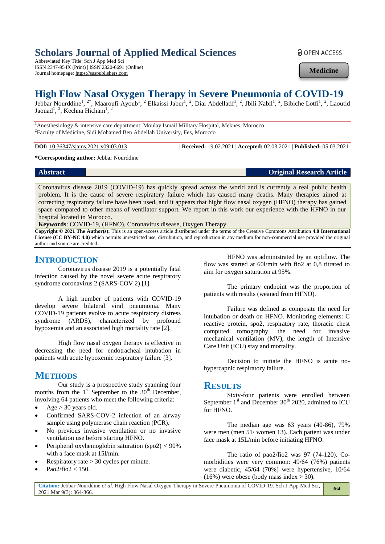# **Scholars Journal of Applied Medical Sciences**

Abbreviated Key Title: Sch J App Med Sci ISSN 2347-954X (Print) | ISSN 2320-6691 (Online) Journal homepage: https://saspublishers.com

**a** OPEN ACCESS

**Medicine**

# **High Flow Nasal Oxygen Therapy in Severe Pneumonia of COVID-19**

Jebbar Nourddine<sup>1</sup>, <sup>2\*</sup>, Maaroufi Ayoub<sup>1</sup>, <sup>2</sup> Elkaissi Jaber<sup>1</sup>, <sup>2</sup>, Diai Abdellatif<sup>1</sup>, <sup>2</sup>, Jbili Nabil<sup>1</sup>, <sup>2</sup>, Bibiche Lotfi<sup>1</sup>, <sup>2</sup>, Laoutid Jaouad<sup>1</sup>, <sup>2</sup>, Kechna Hicham<sup>1</sup>, <sup>2</sup>

<sup>1</sup>Anesthesiology & intensive care department, Moulay Ismail Military Hospital, Meknes, Morocco 2 Faculty of Medicine, Sidi Mohamed Ben Abdellah University, Fes, Morocco

**DOI:** 10.36347/sjams.2021.v09i03.013 | **Received:** 19.02.2021 | **Accepted:** 02.03.2021 | **Published:** 05.03.2021

**\*Corresponding author:** Jebbar Nourddine

**Abstract Original Research Article** 

Coronavirus disease 2019 (COVID-19) has quickly spread across the world and is currently a real public health problem. It is the cause of severe respiratory failure which has caused many deaths. Many therapies aimed at correcting respiratory failure have been used, and it appears that hight flow nasal oxygen (HFNO) therapy has gained space compared to other means of ventilator support. We report in this work our experience with the HFNO in our hospital located in Morocco.

**Keywords**: COVID-19, (HFNO), Coronavirus disease, Oxygen Therapy.

**Copyright © 2021 The Author(s):** This is an open-access article distributed under the terms of the Creative Commons Attribution **4.0 International License (CC BY-NC 4.0)** which permits unrestricted use, distribution, and reproduction in any medium for non-commercial use provided the original author and source are credited.

## **INTRODUCTION**

Coronavirus disease 2019 is a potentially fatal infection caused by the novel severe acute respiratory syndrome coronavirus 2 (SARS-COV 2) [1].

A high number of patients with COVID-19 develop severe bilateral viral pneumonia. Many COVID-19 patients evolve to acute respiratory distress syndrome (ARDS), characterized by profound hypoxemia and an associated high mortality rate [2].

High flow nasal oxygen therapy is effective in decreasing the need for endotracheal intubation in patients with acute hypoxemic respiratory failure [3].

## **METHODS**

Our study is a prospective study spanning four months from the  $1<sup>st</sup>$  September to the  $30<sup>th</sup>$  December, involving 64 patients who meet the following criteria:

- Age > 30 years old.
- Confirmed SARS-COV-2 infection of an airway sample using polymerase chain reaction (PCR).
- No previous invasive ventilation or no invasive ventilation use before starting HFNO.
- Peripheral oxyhemoglobin saturation (spo2) < 90% with a face mask at 15l/min.
- Respiratory rate > 30 cycles per minute.
- Pao2/fio2 < 150.

HFNO was administrated by an optiflow. The flow was started at 60l/min with fio2 at 0,8 titrated to aim for oxygen saturation at 95%.

The primary endpoint was the proportion of patients with results (weaned from HFNO).

Failure was defined as composite the need for intubation or death on HFNO. Monitoring elements: C reactive protein, spo2, respiratory rate, thoracic chest computed tomography, the need for invasive mechanical ventilation (MV), the length of Intensive Care Unit (ICU) stay and mortality.

Decision to initiate the HFNO is acute nohypercapnic respiratory failure.

### **RESULTS**

Sixty-four patients were enrolled between September  $1<sup>st</sup>$  and December  $30<sup>th</sup>$  2020, admitted to ICU for HFNO.

The median age was 63 years (40-86), 79% were men (men 51/ women 13). Each patient was under face mask at 15L/min before initiating HFNO.

The ratio of pao2/fio2 was 97 (74-120). Comorbidities were very common: 49/64 (76%) patients were diabetic, 45/64 (70%) were hypertensive, 10/64  $(16\%)$  were obese (body mass index > 30).

**Citation:** Jebbar Nourddine *et al*. High Flow Nasal Oxygen Therapy in Severe Pneumonia of COVID-19. Sch J App Med Sci, 2021 Mar 9(3): 364-366. 364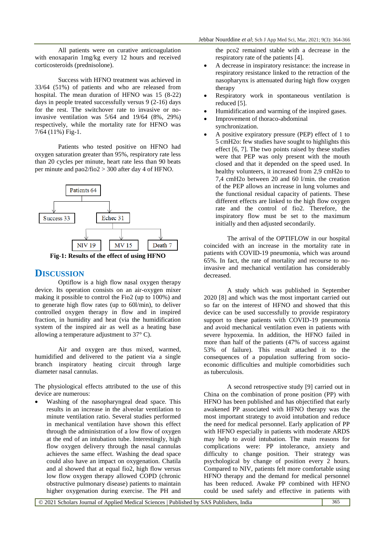All patients were on curative anticoagulation with enoxaparin 1mg/kg every 12 hours and received corticosteroids (prednisolone).

Success with HFNO treatment was achieved in 33/64 (51%) of patients and who are released from hospital. The mean duration of HFNO was 15 (8-22) days in people treated successfully versus 9 (2-16) days for the rest. The switchover rate to invasive or noinvasive ventilation was 5/64 and 19/64 (8%, 29%) respectively, while the mortality rate for HFNO was 7/64 (11%) Fig-1.

Patients who tested positive on HFNO had oxygen saturation greater than 95%, respiratory rate less than 20 cycles per minute, heart rate less than 90 beats per minute and pao2/fio2  $>$  300 after day 4 of HFNO.



**Fig-1: Results of the effect of using HFNO**

#### **DISCUSSION**

Optiflow is a high flow nasal oxygen therapy device. Its operation consists on an air-oxygen mixer making it possible to control the Fio2 (up to 100%) and to generate high flow rates (up to 60l/min), to deliver controlled oxygen therapy in flow and in inspired fraction, in humidity and heat (via the humidification system of the inspired air as well as a heating base allowing a temperature adjustment to 37° C).

Air and oxygen are thus mixed, warmed, humidified and delivered to the patient via a single branch inspiratory heating circuit through large diameter nasal cannulas.

The physiological effects attributed to the use of this device are numerous:

 Washing of the nasopharyngeal dead space. This results in an increase in the alveolar ventilation to minute ventilation ratio. Several studies performed in mechanical ventilation have shown this effect through the administration of a low flow of oxygen at the end of an intubation tube. Interestingly, high flow oxygen delivery through the nasal cannulas achieves the same effect. Washing the dead space could also have an impact on oxygenation. Chatila and al showed that at equal fio2, high flow versus low flow oxygen therapy allowed COPD (chronic obstructive pulmonary disease) patients to maintain higher oxygenation during exercise. The PH and

the pco2 remained stable with a decrease in the respiratory rate of the patients [4].

- A decrease in inspiratory resistance: the increase in respiratory resistance linked to the retraction of the nasopharynx is attenuated during high flow oxygen therapy
- Respiratory work in spontaneous ventilation is reduced [5].
- Humidification and warming of the inspired gases.
- Improvement of thoraco-abdominal synchronization.
- A positive expiratory pressure (PEP) effect of 1 to 5 cmH2o: few studies have sought to highlights this effect [6, 7]. The two points raised by these studies were that PEP was only present with the mouth closed and that it depended on the speed used. In healthy volunteers, it increased from 2,9 cmH2o to 7,4 cmH2o between 20 and 60 l/min. the creation of the PEP allows an increase in lung volumes and the functional residual capacity of patients. These different effects are linked to the high flow oxygen rate and the control of fio2. Therefore, the inspiratory flow must be set to the maximum initially and then adjusted secondarily.

The arrival of the OPTIFLOW in our hospital coincided with an increase in the mortality rate in patients with COVID-19 pneumonia, which was around 65%. In fact, the rate of mortality and recourse to noinvasive and mechanical ventilation has considerably decreased.

A study which was published in September 2020 [8] and which was the most important carried out so far on the interest of HFNO and showed that this device can be used successfully to provide respiratory support to these patients with COVID-19 pneumonia and avoid mechanical ventilation even in patients with severe hypoxemia. In addition, the HFNO failed in more than half of the patients (47% of success against 53% of failure). This result attached it to the consequences of a population suffering from socioeconomic difficulties and multiple comorbidities such as tuberculosis.

A second retrospective study [9] carried out in China on the combination of prone position (PP) with HFNO has been published and has objectified that early awakened PP associated with HFNO therapy was the most important strategy to avoid intubation and reduce the need for medical personnel. Early application of PP with HFNO especially in patients with moderate ARDS may help to avoid intubation. The main reasons for complications were: PP intolerance, anxiety and difficulty to change position. Their strategy was psychological by change of position every 2 hours. Compared to NIV, patients felt more comfortable using HFNO therapy and the demand for medical personnel has been reduced. Awake PP combined with HFNO could be used safely and effective in patients with

© 2021 Scholars Journal of Applied Medical Sciences | Published by SAS Publishers, India 365